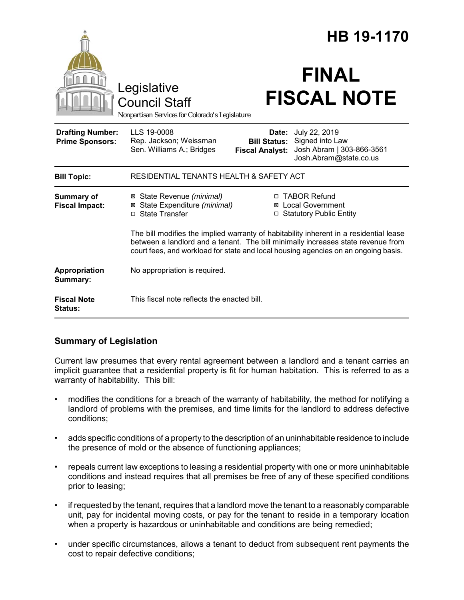|                                                   |                                                                                                                                                                                                                                                                  | HB 19-1170                                             |                                                                                         |
|---------------------------------------------------|------------------------------------------------------------------------------------------------------------------------------------------------------------------------------------------------------------------------------------------------------------------|--------------------------------------------------------|-----------------------------------------------------------------------------------------|
|                                                   | Legislative<br><b>Council Staff</b><br>Nonpartisan Services for Colorado's Legislature                                                                                                                                                                           |                                                        | <b>FINAL</b><br><b>FISCAL NOTE</b>                                                      |
| <b>Drafting Number:</b><br><b>Prime Sponsors:</b> | LLS 19-0008<br>Rep. Jackson; Weissman<br>Sen. Williams A.; Bridges                                                                                                                                                                                               | Date:<br><b>Bill Status:</b><br><b>Fiscal Analyst:</b> | July 22, 2019<br>Signed into Law<br>Josh Abram   303-866-3561<br>Josh.Abram@state.co.us |
| <b>Bill Topic:</b>                                | RESIDENTIAL TENANTS HEALTH & SAFETY ACT                                                                                                                                                                                                                          |                                                        |                                                                                         |
| <b>Summary of</b><br><b>Fiscal Impact:</b>        | ⊠ State Revenue (minimal)<br>⊠ State Expenditure (minimal)<br>□ State Transfer                                                                                                                                                                                   |                                                        | □ TABOR Refund<br><b>⊠</b> Local Government<br>□ Statutory Public Entity                |
|                                                   | The bill modifies the implied warranty of habitability inherent in a residential lease<br>between a landlord and a tenant. The bill minimally increases state revenue from<br>court fees, and workload for state and local housing agencies on an ongoing basis. |                                                        |                                                                                         |
| Appropriation<br>Summary:                         | No appropriation is required.                                                                                                                                                                                                                                    |                                                        |                                                                                         |
| <b>Fiscal Note</b><br>Status:                     | This fiscal note reflects the enacted bill.                                                                                                                                                                                                                      |                                                        |                                                                                         |

#### **Summary of Legislation**

Current law presumes that every rental agreement between a landlord and a tenant carries an implicit guarantee that a residential property is fit for human habitation. This is referred to as a warranty of habitability. This bill:

- modifies the conditions for a breach of the warranty of habitability, the method for notifying a landlord of problems with the premises, and time limits for the landlord to address defective conditions;
- adds specific conditions of a property to the description of an uninhabitable residence to include the presence of mold or the absence of functioning appliances;
- repeals current law exceptions to leasing a residential property with one or more uninhabitable conditions and instead requires that all premises be free of any of these specified conditions prior to leasing;
- if requested by the tenant, requires that a landlord move the tenant to a reasonably comparable unit, pay for incidental moving costs, or pay for the tenant to reside in a temporary location when a property is hazardous or uninhabitable and conditions are being remedied;
- under specific circumstances, allows a tenant to deduct from subsequent rent payments the cost to repair defective conditions;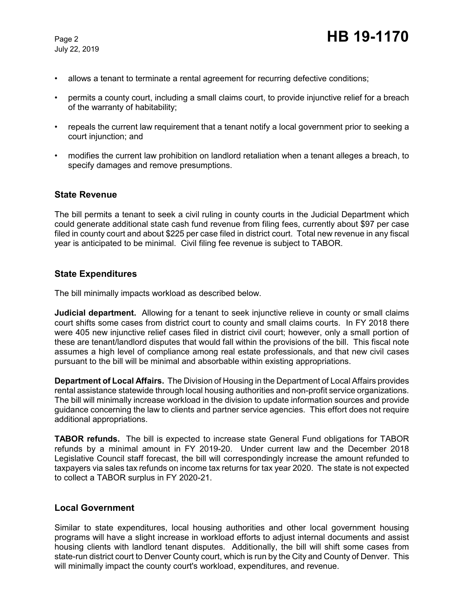July 22, 2019

- allows a tenant to terminate a rental agreement for recurring defective conditions;
- permits a county court, including a small claims court, to provide injunctive relief for a breach of the warranty of habitability;
- repeals the current law requirement that a tenant notify a local government prior to seeking a court injunction; and
- modifies the current law prohibition on landlord retaliation when a tenant alleges a breach, to specify damages and remove presumptions.

#### **State Revenue**

The bill permits a tenant to seek a civil ruling in county courts in the Judicial Department which could generate additional state cash fund revenue from filing fees, currently about \$97 per case filed in county court and about \$225 per case filed in district court. Total new revenue in any fiscal year is anticipated to be minimal. Civil filing fee revenue is subject to TABOR.

#### **State Expenditures**

The bill minimally impacts workload as described below.

**Judicial department.** Allowing for a tenant to seek injunctive relieve in county or small claims court shifts some cases from district court to county and small claims courts. In FY 2018 there were 405 new injunctive relief cases filed in district civil court; however, only a small portion of these are tenant/landlord disputes that would fall within the provisions of the bill. This fiscal note assumes a high level of compliance among real estate professionals, and that new civil cases pursuant to the bill will be minimal and absorbable within existing appropriations.

**Department of Local Affairs.** The Division of Housing in the Department of Local Affairs provides rental assistance statewide through local housing authorities and non-profit service organizations. The bill will minimally increase workload in the division to update information sources and provide guidance concerning the law to clients and partner service agencies. This effort does not require additional appropriations.

**TABOR refunds.** The bill is expected to increase state General Fund obligations for TABOR refunds by a minimal amount in FY 2019-20. Under current law and the December 2018 Legislative Council staff forecast, the bill will correspondingly increase the amount refunded to taxpayers via sales tax refunds on income tax returns for tax year 2020. The state is not expected to collect a TABOR surplus in FY 2020-21.

#### **Local Government**

Similar to state expenditures, local housing authorities and other local government housing programs will have a slight increase in workload efforts to adjust internal documents and assist housing clients with landlord tenant disputes. Additionally, the bill will shift some cases from state-run district court to Denver County court, which is run by the City and County of Denver. This will minimally impact the county court's workload, expenditures, and revenue.